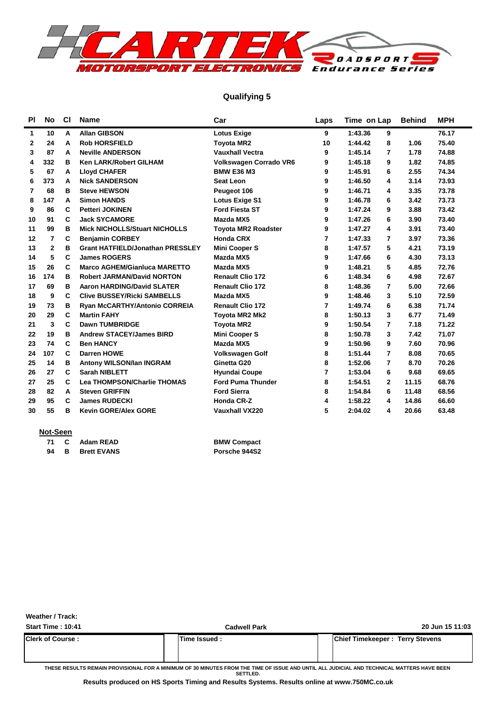

### **Qualifying 5**

| PI           | No           | <b>CI</b> | <b>Name</b>                             | Car                           | Laps | Time on Lap               | <b>Behind</b> | <b>MPH</b> |
|--------------|--------------|-----------|-----------------------------------------|-------------------------------|------|---------------------------|---------------|------------|
| 1            | 10           | A         | <b>Allan GIBSON</b>                     | <b>Lotus Exige</b>            | 9    | 1:43.36<br>9              |               | 76.17      |
| $\mathbf{2}$ | 24           | A         | <b>Rob HORSFIELD</b>                    | <b>Toyota MR2</b>             | 10   | 1:44.42<br>8              | 1.06          | 75.40      |
| 3            | 87           | A         | <b>Neville ANDERSON</b>                 | <b>Vauxhall Vectra</b>        | 9    | 1:45.14<br>7              | 1.78          | 74.88      |
| 4            | 332          | в         | <b>Ken LARK/Robert GILHAM</b>           | <b>Volkswagen Corrado VR6</b> | 9    | 1:45.18<br>9              | 1.82          | 74.85      |
| 5            | 67           | A         | <b>Lloyd CHAFER</b>                     | <b>BMW E36 M3</b>             | 9    | 1:45.91<br>6              | 2.55          | 74.34      |
| 6            | 373          | A         | <b>Nick SANDERSON</b>                   | <b>Seat Leon</b>              | 9    | 1:46.50<br>4              | 3.14          | 73.93      |
| 7            | 68           | в         | <b>Steve HEWSON</b>                     | Peugeot 106                   | 9    | 1:46.71<br>4              | 3.35          | 73.78      |
| 8            | 147          | A         | <b>Simon HANDS</b>                      | <b>Lotus Exige S1</b>         | 9    | 1:46.78<br>6              | 3.42          | 73.73      |
| 9            | 86           | C         | <b>Petteri JOKINEN</b>                  | <b>Ford Fiesta ST</b>         | 9    | 1:47.24<br>9              | 3.88          | 73.42      |
| 10           | 91           | C         | <b>Jack SYCAMORE</b>                    | Mazda MX5                     | 9    | 1:47.26<br>6              | 3.90          | 73.40      |
| 11           | 99           | в         | <b>Mick NICHOLLS/Stuart NICHOLLS</b>    | <b>Toyota MR2 Roadster</b>    | 9    | 4<br>1:47.27              | 3.91          | 73.40      |
| 12           | 7            | C         | <b>Benjamin CORBEY</b>                  | <b>Honda CRX</b>              | 7    | 1:47.33<br>7              | 3.97          | 73.36      |
| 13           | $\mathbf{2}$ | в         | <b>Grant HATFIELD/Jonathan PRESSLEY</b> | <b>Mini Cooper S</b>          | 8    | 5<br>1:47.57              | 4.21          | 73.19      |
| 14           | 5            | C         | <b>James ROGERS</b>                     | Mazda MX5                     | 9    | 6<br>1:47.66              | 4.30          | 73.13      |
| 15           | 26           | С         | <b>Marco AGHEM/Gianluca MARETTO</b>     | Mazda MX5                     | 9    | 1:48.21<br>5              | 4.85          | 72.76      |
| 16           | 174          | в         | <b>Robert JARMAN/David NORTON</b>       | <b>Renault Clio 172</b>       | 6    | 6<br>1:48.34              | 4.98          | 72.67      |
| 17           | 69           | в         | <b>Aaron HARDING/David SLATER</b>       | <b>Renault Clio 172</b>       | 8    | 1:48.36<br>7              | 5.00          | 72.66      |
| 18           | 9            | C         | <b>Clive BUSSEY/Ricki SAMBELLS</b>      | Mazda MX5                     | 9    | 1:48.46<br>3              | 5.10          | 72.59      |
| 19           | 73           | в         | <b>Ryan McCARTHY/Antonio CORREIA</b>    | <b>Renault Clio 172</b>       | 7    | 1:49.74<br>6              | 6.38          | 71.74      |
| 20           | 29           | C         | <b>Martin FAHY</b>                      | <b>Toyota MR2 Mk2</b>         | 8    | 1:50.13<br>3              | 6.77          | 71.49      |
| 21           | 3            | C         | <b>Dawn TUMBRIDGE</b>                   | <b>Toyota MR2</b>             | 9    | 1:50.54<br>7              | 7.18          | 71.22      |
| 22           | 19           | в         | <b>Andrew STACEY/James BIRD</b>         | <b>Mini Cooper S</b>          | 8    | 3<br>1:50.78              | 7.42          | 71.07      |
| 23           | 74           | C         | <b>Ben HANCY</b>                        | Mazda MX5                     | 9    | 1:50.96<br>9              | 7.60          | 70.96      |
| 24           | 107          | C         | <b>Darren HOWE</b>                      | <b>Volkswagen Golf</b>        | 8    | $\overline{7}$<br>1:51.44 | 8.08          | 70.65      |
| 25           | 14           | в         | Antony WILSON/Ian INGRAM                | Ginetta G20                   | 8    | 1:52.06<br>7              | 8.70          | 70.26      |
| 26           | 27           | C         | <b>Sarah NIBLETT</b>                    | <b>Hyundai Coupe</b>          | 7    | 1:53.04<br>6              | 9.68          | 69.65      |
| 27           | 25           | C         | <b>Lea THOMPSON/Charlie THOMAS</b>      | <b>Ford Puma Thunder</b>      | 8    | 1:54.51<br>$\mathbf{2}$   | 11.15         | 68.76      |
| 28           | 82           | A         | <b>Steven GRIFFIN</b>                   | <b>Ford Sierra</b>            | 8    | 1:54.84<br>6              | 11.48         | 68.56      |
| 29           | 95           | C         | <b>James RUDECKI</b>                    | <b>Honda CR-Z</b>             | 4    | 1:58.22<br>4              | 14.86         | 66.60      |
| 30           | 55           | в         | <b>Kevin GORE/Alex GORE</b>             | <b>Vauxhall VX220</b>         | 5    | 2:04.02<br>4              | 20.66         | 63.48      |
|              |              |           |                                         |                               |      |                           |               |            |

#### **Not-Seen**

|    | 71 C Adam READ       | <b>BMW Compact</b> |
|----|----------------------|--------------------|
| 94 | <b>B</b> Brett EVANS | Porsche 944S2      |

| <b>BMW Compact</b> |  |  |
|--------------------|--|--|
| Porsche 944S2      |  |  |

**Weather / Track:** 

| <b>Start Time: 10:41</b> | <b>Cadwell Park</b> |                                        | 20 Jun 15 11:03 |  |  |  |  |
|--------------------------|---------------------|----------------------------------------|-----------------|--|--|--|--|
| <b>Clerk of Course :</b> | Time Issued :       | <b>Chief Timekeeper: Terry Stevens</b> |                 |  |  |  |  |
|                          |                     |                                        |                 |  |  |  |  |

**THESE RESULTS REMAIN PROVISIONAL FOR A MINIMUM OF 30 MINUTES FROM THE TIME OF ISSUE AND UNTIL ALL JUDICIAL AND TECHNICAL MATTERS HAVE BEEN SETTLED.**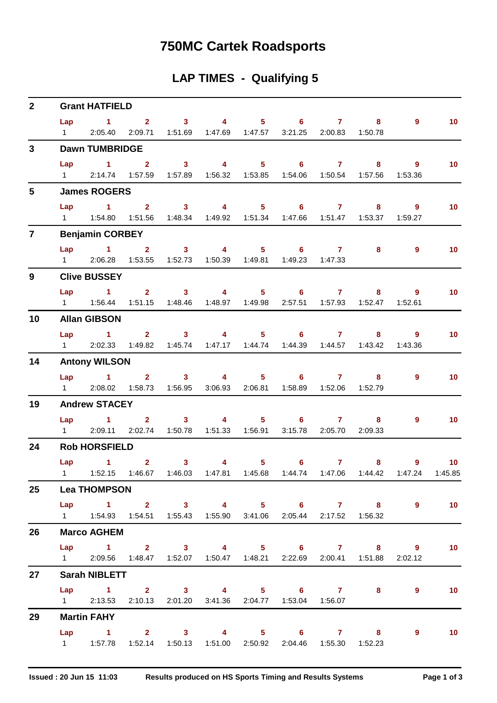## **750MC Cartek Roadsports**

## **LAP TIMES - Qualifying 5**

| $\overline{2}$  | <b>Grant HATFIELD</b>  |                                                                                                                          |  |                |  |                                   |                                                                        |  |  |                |                   |  |  |  |
|-----------------|------------------------|--------------------------------------------------------------------------------------------------------------------------|--|----------------|--|-----------------------------------|------------------------------------------------------------------------|--|--|----------------|-------------------|--|--|--|
|                 |                        | Lap 1 2 3 4 5 6 7 8                                                                                                      |  |                |  |                                   |                                                                        |  |  | $\overline{9}$ | 10                |  |  |  |
|                 | $1 \quad \Box$         |                                                                                                                          |  |                |  |                                   | 2:05.40  2:09.71  1:51.69  1:47.69  1:47.57  3:21.25  2:00.83  1:50.78 |  |  |                |                   |  |  |  |
| $3\phantom{a}$  |                        | <b>Dawn TUMBRIDGE</b>                                                                                                    |  |                |  |                                   |                                                                        |  |  |                |                   |  |  |  |
|                 |                        | Lap 1 2 3 4 5 6 7 8                                                                                                      |  |                |  |                                   |                                                                        |  |  | 9              | 10 <sub>1</sub>   |  |  |  |
|                 |                        | 1 2:14.74 1:57.59 1:57.89 1:56.32 1:53.85 1:54.06 1:50.54 1:57.56 1:53.36                                                |  |                |  |                                   |                                                                        |  |  |                |                   |  |  |  |
| $5\overline{)}$ |                        | <b>James ROGERS</b>                                                                                                      |  |                |  |                                   |                                                                        |  |  |                |                   |  |  |  |
|                 |                        | Lap 1 2 3 4 5 6 7 8                                                                                                      |  |                |  |                                   |                                                                        |  |  | $9^{\circ}$    | 10                |  |  |  |
|                 |                        | 1   1:54.80   1:51.56   1:48.34   1:49.92   1:51.34   1:47.66   1:51.47   1:53.37   1:59.27                              |  |                |  |                                   |                                                                        |  |  |                |                   |  |  |  |
| $\overline{7}$  |                        | <b>Benjamin CORBEY</b>                                                                                                   |  |                |  |                                   |                                                                        |  |  |                |                   |  |  |  |
|                 |                        | Lap 1 2 3 4 5 6 7                                                                                                        |  |                |  |                                   |                                                                        |  |  | 9              | 10 <sup>°</sup>   |  |  |  |
|                 |                        | 1 2:06.28 1:53.55 1:52.73 1:50.39 1:49.81 1:49.23 1:47.33                                                                |  |                |  |                                   |                                                                        |  |  |                |                   |  |  |  |
| 9               |                        | <b>Clive BUSSEY</b>                                                                                                      |  |                |  |                                   |                                                                        |  |  |                |                   |  |  |  |
|                 |                        | Lap 1 2 3 4 5 6 7 8 9                                                                                                    |  |                |  |                                   |                                                                        |  |  |                | 10 <sub>1</sub>   |  |  |  |
|                 |                        | 1   1:56.44   1:51.15   1:48.46   1:48.97   1:49.98   2:57.51   1:57.93   1:52.47   1:52.61                              |  |                |  |                                   |                                                                        |  |  |                |                   |  |  |  |
| 10              |                        | <b>Allan GIBSON</b>                                                                                                      |  |                |  |                                   |                                                                        |  |  |                |                   |  |  |  |
|                 |                        | Lap 1 2 3 4 5 6 7                                                                                                        |  |                |  |                                   |                                                                        |  |  | $\overline{9}$ | 10 <sub>1</sub>   |  |  |  |
|                 |                        |                                                                                                                          |  |                |  |                                   |                                                                        |  |  |                |                   |  |  |  |
| 14              |                        | 1 2:02.33 1:49.82 1:45.74 1:47.17 1:44.74 1:44.39 1:44.57 1:43.42 1:43.36<br><b>Antony WILSON</b><br>Lap 1 2 3 4 5 6 7 8 |  |                |  |                                   |                                                                        |  |  |                |                   |  |  |  |
|                 |                        |                                                                                                                          |  |                |  |                                   |                                                                        |  |  | $9^{\circ}$    | 10                |  |  |  |
|                 |                        | 1  2:08.02  1:58.73  1:56.95  3:06.93  2:06.81  1:58.89  1:52.06  1:52.79                                                |  |                |  |                                   |                                                                        |  |  |                |                   |  |  |  |
| 19              |                        | <b>Andrew STACEY</b>                                                                                                     |  |                |  |                                   |                                                                        |  |  |                |                   |  |  |  |
|                 |                        | Lap 1 2 3 4 5 6 7 8                                                                                                      |  |                |  |                                   |                                                                        |  |  | 9              | 10                |  |  |  |
|                 | $1 \quad \blacksquare$ |                                                                                                                          |  |                |  |                                   | 2:09.11 2:02.74 1:50.78 1:51.33 1:56.91 3:15.78 2:05.70 2:09.33        |  |  |                |                   |  |  |  |
| 24              |                        | <b>Rob HORSFIELD</b>                                                                                                     |  |                |  |                                   |                                                                        |  |  |                |                   |  |  |  |
|                 |                        | $Lap$ $1$ $2$                                                                                                            |  | 3 <sub>1</sub> |  | $\overline{4}$ and $\overline{4}$ | $5 \t\t 6 \t\t 7$                                                      |  |  | $8 - 1$        | $9 \t 10$         |  |  |  |
|                 |                        | 1 $1:52.15$ $1:46.67$ $1:46.03$ $1:47.81$ $1:45.68$ $1:44.74$ $1:47.06$ $1:44.42$ $1:47.24$ $1:45.85$                    |  |                |  |                                   |                                                                        |  |  |                |                   |  |  |  |
| $25\,$          |                        | <b>Lea THOMPSON</b>                                                                                                      |  |                |  |                                   |                                                                        |  |  |                |                   |  |  |  |
|                 |                        | Lap 1 2 3 4 5 6 7 8 9                                                                                                    |  |                |  |                                   |                                                                        |  |  |                | $\sim$ 10         |  |  |  |
|                 |                        | 1   1:54.93   1:54.51   1:55.43   1:55.90   3:41.06   2:05.44   2:17.52   1:56.32                                        |  |                |  |                                   |                                                                        |  |  |                |                   |  |  |  |
| 26              |                        | <b>Marco AGHEM</b>                                                                                                       |  |                |  |                                   |                                                                        |  |  |                |                   |  |  |  |
|                 |                        | Lap 1 2 3 4 5 6 7 8 9                                                                                                    |  |                |  |                                   |                                                                        |  |  |                | $\blacksquare$ 10 |  |  |  |
|                 |                        | 1 2:09.56 1:48.47 1:52.07 1:50.47 1:48.21 2:22.69 2:00.41 1:51.88 2:02.12                                                |  |                |  |                                   |                                                                        |  |  |                |                   |  |  |  |
| 27              |                        | <b>Sarah NIBLETT</b>                                                                                                     |  |                |  |                                   |                                                                        |  |  |                |                   |  |  |  |
|                 |                        | Lap 1 2 3 4 5 6 7 8                                                                                                      |  |                |  |                                   |                                                                        |  |  | $9^{\circ}$    | 10                |  |  |  |
|                 |                        | 1 2:13.53 2:10.13 2:01.20 3:41.36 2:04.77 1:53.04 1:56.07                                                                |  |                |  |                                   |                                                                        |  |  |                |                   |  |  |  |
| 29              |                        | <b>Martin FAHY</b>                                                                                                       |  |                |  |                                   |                                                                        |  |  |                |                   |  |  |  |
|                 |                        | Lap 1 2 3 4 5 6 7 8                                                                                                      |  |                |  |                                   |                                                                        |  |  | 9              | $\sim$ 10         |  |  |  |
|                 |                        | 1    1:57.78    1:52.14    1:50.13    1:51.00    2:50.92    2:04.46    1:55.30    1:52.23                                |  |                |  |                                   |                                                                        |  |  |                |                   |  |  |  |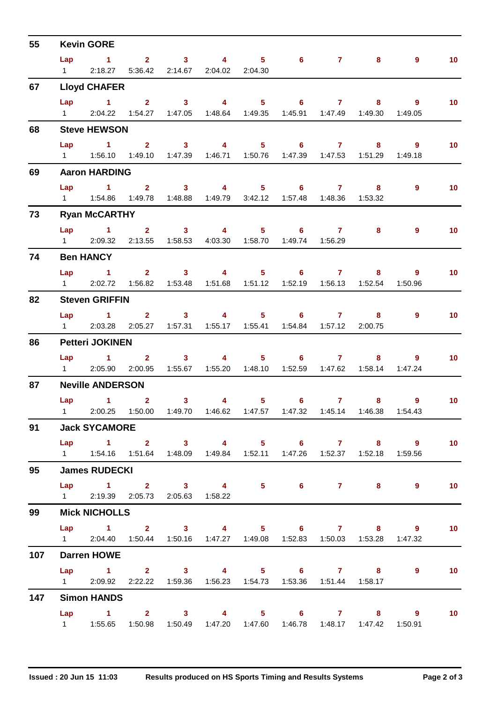| 55  |                | <b>Kevin GORE</b>                                                                                      |  |                                                               |             |                                   |       |                                                                                                     |                   |
|-----|----------------|--------------------------------------------------------------------------------------------------------|--|---------------------------------------------------------------|-------------|-----------------------------------|-------|-----------------------------------------------------------------------------------------------------|-------------------|
|     | Lap            | $1 \qquad 2 \qquad 3 \qquad 4 \qquad 5 \qquad 6 \qquad 7$                                              |  |                                                               |             |                                   | $8 -$ | $9^{\circ}$                                                                                         | 10 <sub>1</sub>   |
|     |                | 1 2:18.27 5:36.42 2:14.67 2:04.02 2:04.30                                                              |  |                                                               |             |                                   |       |                                                                                                     |                   |
| 67  |                | <b>Lloyd CHAFER</b>                                                                                    |  |                                                               |             |                                   |       |                                                                                                     |                   |
|     |                | Lap 1 2 3 4 5 6 7 8<br>1 2:04.22 1:54.27 1:47.05 1:48.64 1:49.35 1:45.91 1:47.49 1:49.30               |  |                                                               |             |                                   |       | - 9<br>1:49.05                                                                                      | 10 <sub>1</sub>   |
| 68  |                | <b>Steve HEWSON</b>                                                                                    |  |                                                               |             |                                   |       |                                                                                                     |                   |
|     | Lap            | $\sim$ $-1$<br>1   1:56.10   1:49.10   1:47.39   1:46.71   1:50.76   1:47.39   1:47.53   1:51.29       |  | $2 \qquad 3 \qquad 4 \qquad 5 \qquad 6 \qquad 7$              |             |                                   |       | $9^{\circ}$<br>$8 - 1$<br>1:49.18                                                                   | 10 <sub>1</sub>   |
| 69  |                | <b>Aaron HARDING</b>                                                                                   |  |                                                               |             |                                   |       |                                                                                                     |                   |
|     |                | Lap 1 2 3 4 5 6 7<br>1   1:54.86   1:49.78   1:48.88   1:49.79   3:42.12   1:57.48   1:48.36   1:53.32 |  |                                                               |             |                                   | 8     | 9                                                                                                   | 10 <sub>1</sub>   |
| 73  |                | <b>Ryan McCARTHY</b>                                                                                   |  |                                                               |             |                                   |       |                                                                                                     |                   |
|     | $1 \quad \Box$ | Lap 1 2 3 4 5 6 7                                                                                      |  | 2:09.32  2:13.55  1:58.53  4:03.30  1:58.70  1:49.74  1:56.29 |             |                                   |       | $8 - 1$<br>$9^{\circ}$                                                                              | 10 <sub>1</sub>   |
| 74  |                | <b>Ben HANCY</b>                                                                                       |  |                                                               |             |                                   |       |                                                                                                     |                   |
|     |                | Lap 1 2 3 4 5 6 7<br>1 2:02.72 1:56.82 1:53.48 1:51.68 1:51.12 1:52.19 1:56.13 1:52.54                 |  |                                                               |             |                                   | 8     | 9<br>1:50.96                                                                                        | 10 <sub>1</sub>   |
| 82  |                | <b>Steven GRIFFIN</b>                                                                                  |  |                                                               |             |                                   |       |                                                                                                     |                   |
|     |                | Lap 1 2 3 4 5 6 7<br>1 2:03.28 2:05.27 1:57.31 1:55.17 1:55.41 1:54.84 1:57.12 2:00.75                 |  |                                                               |             |                                   |       | $9^{\circ}$<br>$8 - 1$                                                                              | 10 <sub>1</sub>   |
| 86  |                | <b>Petteri JOKINEN</b>                                                                                 |  |                                                               |             |                                   |       |                                                                                                     |                   |
|     |                | Lap 1 2 3 4 5 6 7<br>1 2:05.90                                                                         |  | 2:00.95  1:55.67  1:55.20  1:48.10  1:52.59  1:47.62  1:58.14 |             |                                   |       | $8 - 1$<br>9<br>1:47.24                                                                             | 10 <sub>1</sub>   |
| 87  |                | <b>Neville ANDERSON</b>                                                                                |  |                                                               |             |                                   |       |                                                                                                     |                   |
|     |                | $Lap$ 1 2                                                                                              |  | $3 \t 4$                                                      | $5^{\circ}$ | $6 \qquad \qquad 7 \qquad \qquad$ |       | $9^{\circ}$<br>$8 - 1$<br>1 2:00.25 1:50.00 1:49.70 1:46.62 1:47.57 1:47.32 1:45.14 1:46.38 1:54.43 | 10 <sub>1</sub>   |
| 91  |                | <b>Jack SYCAMORE</b>                                                                                   |  |                                                               |             |                                   |       |                                                                                                     |                   |
|     |                | 1   1:54.16   1:51.64   1:48.09   1:49.84   1:52.11   1:47.26   1:52.37   1:52.18   1:59.56            |  |                                                               |             |                                   |       | Lap 1 2 3 4 5 6 7 8 9                                                                               | $\overline{10}$   |
| 95  |                | <b>James RUDECKI</b>                                                                                   |  |                                                               |             |                                   |       |                                                                                                     |                   |
|     |                | Lap 1 2 3 4 5 6 7 8 9<br>1 2:19.39 2:05.73 2:05.63 1:58.22                                             |  |                                                               |             |                                   |       |                                                                                                     | 10                |
| 99  |                | <b>Mick NICHOLLS</b>                                                                                   |  |                                                               |             |                                   |       |                                                                                                     |                   |
|     |                | 1 2:04.40 1:50.44 1:50.16 1:47.27 1:49.08 1:52.83 1:50.03 1:53.28 1:47.32                              |  |                                                               |             |                                   |       | Lap 1 2 3 4 5 6 7 8 9                                                                               | $\overline{10}$   |
| 107 |                | <b>Darren HOWE</b>                                                                                     |  |                                                               |             |                                   |       |                                                                                                     |                   |
|     |                | Lap 1 2 3 4 5 6 7 8 9<br>1 2:09.92 2:22.22 1:59.36 1:56.23 1:54.73 1:53.36 1:51.44 1:58.17             |  |                                                               |             |                                   |       |                                                                                                     | $\blacksquare$ 10 |
| 147 |                | <b>Simon HANDS</b>                                                                                     |  |                                                               |             |                                   |       |                                                                                                     |                   |
|     |                | 1   1:55.65   1:50.98   1:50.49   1:47.20   1:47.60   1:46.78   1:48.17   1:47.42   1:50.91            |  |                                                               |             |                                   |       | Lap 1 2 3 4 5 6 7 8 9                                                                               | $\overline{10}$   |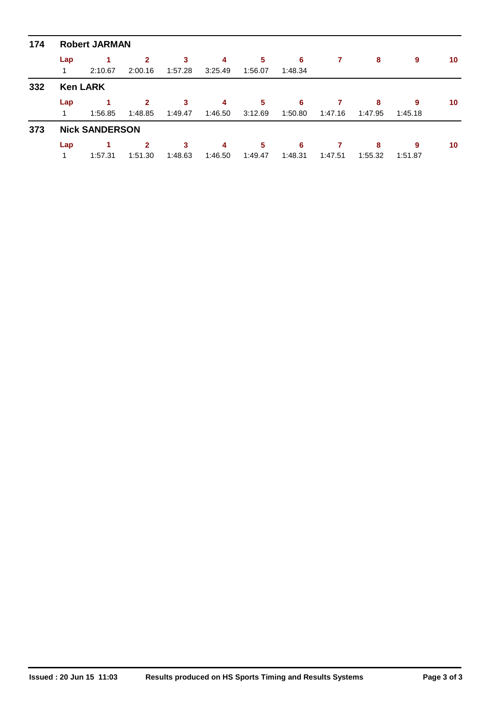| 174 | <b>Robert JARMAN</b> |                       |              |         |         |         |         |         |         |         |    |  |  |  |  |
|-----|----------------------|-----------------------|--------------|---------|---------|---------|---------|---------|---------|---------|----|--|--|--|--|
|     | Lap                  |                       | $\mathbf{2}$ | 3       | 4       | 5       | 6       |         | 8       | 9       | 10 |  |  |  |  |
|     | 1                    | 2:10.67               | 2:00.16      | 1:57.28 | 3:25.49 | 1:56.07 | 1:48.34 |         |         |         |    |  |  |  |  |
| 332 | <b>Ken LARK</b>      |                       |              |         |         |         |         |         |         |         |    |  |  |  |  |
|     | Lap                  |                       | $\mathbf{2}$ | 3       | 4       | 5       | 6       |         | 8       | 9       | 10 |  |  |  |  |
|     | 1                    | 1:56.85               | 1:48.85      | 1:49.47 | 1:46.50 | 3:12.69 | 1:50.80 | 1:47.16 | 1:47.95 | 1:45.18 |    |  |  |  |  |
| 373 |                      | <b>Nick SANDERSON</b> |              |         |         |         |         |         |         |         |    |  |  |  |  |
|     | Lap                  |                       | $\mathbf{2}$ | 3       | 4       | 5       | 6       |         | 8       | 9       | 10 |  |  |  |  |
|     |                      | 1:57.31               | 1:51.30      | 1:48.63 | 1:46.50 | 1:49.47 | 1:48.31 | 1:47.51 | 1:55.32 | 1:51.87 |    |  |  |  |  |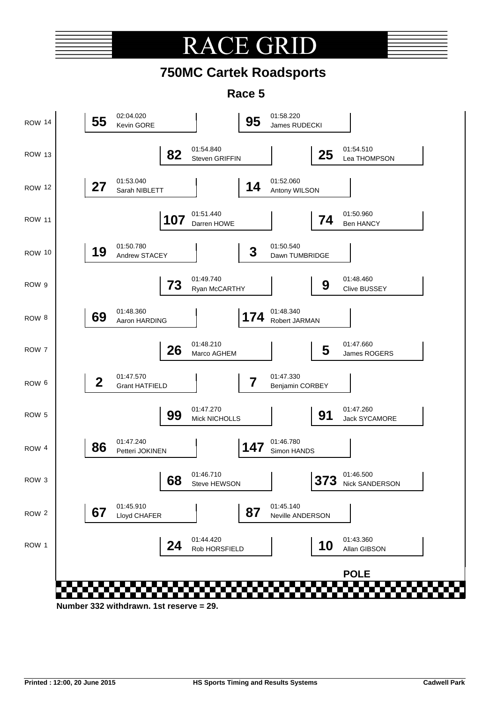## CE GR RA(

## **750MC Cartek Roadsports**

**Race 5**

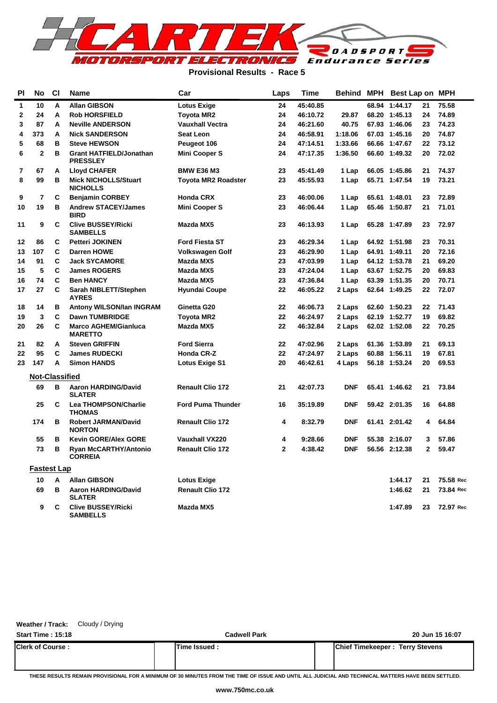

#### **Provisional Results - Race 5**

| PI          | No                    | <b>CI</b> | <b>Name</b>                                       | Laps                       | Time         | <b>Behind MPH</b> | Best Lap on MPH |               |              |           |
|-------------|-----------------------|-----------|---------------------------------------------------|----------------------------|--------------|-------------------|-----------------|---------------|--------------|-----------|
| 1           | 10                    | A         | <b>Allan GIBSON</b>                               | <b>Lotus Exige</b>         | 24           | 45:40.85          |                 | 68.94 1:44.17 | 21           | 75.58     |
| $\mathbf 2$ | 24                    | А         | <b>Rob HORSFIELD</b>                              | <b>Toyota MR2</b>          | 24           | 46:10.72          | 29.87           | 68.20 1:45.13 | 24           | 74.89     |
| 3           | 87                    | A         | <b>Neville ANDERSON</b>                           | <b>Vauxhall Vectra</b>     | 24           | 46:21.60          | 40.75           | 67.93 1:46.06 | 23           | 74.23     |
| 4           | 373                   | A         | <b>Nick SANDERSON</b>                             | <b>Seat Leon</b>           | 24           | 46:58.91          | 1:18.06         | 67.03 1:45.16 | 20           | 74.87     |
| 5           | 68                    | в         | <b>Steve HEWSON</b>                               | Peugeot 106                | 24           | 47:14.51          | 1:33.66         | 66.66 1:47.67 | 22           | 73.12     |
| 6           | $\mathbf{2}$          | в         | <b>Grant HATFIELD/Jonathan</b><br><b>PRESSLEY</b> | <b>Mini Cooper S</b>       | 24           | 47:17.35          | 1:36.50         | 66.60 1:49.32 | 20           | 72.02     |
| 7           | 67                    | A         | <b>Lloyd CHAFER</b>                               | <b>BMW E36 M3</b>          | 23           | 45:41.49          | 1 Lap           | 66.05 1:45.86 | 21           | 74.37     |
| 8           | 99                    | B         | <b>Mick NICHOLLS/Stuart</b><br><b>NICHOLLS</b>    | <b>Toyota MR2 Roadster</b> | 23           | 45:55.93          | 1 Lap           | 65.71 1:47.54 | 19           | 73.21     |
| 9           | $\overline{7}$        | C         | <b>Benjamin CORBEY</b>                            | <b>Honda CRX</b>           | 23           | 46:00.06          | 1 Lap           | 65.61 1:48.01 | 23           | 72.89     |
| 10          | 19                    | в         | <b>Andrew STACEY/James</b><br><b>BIRD</b>         | <b>Mini Cooper S</b>       | 23           | 46:06.44          | 1 Lap           | 65.46 1:50.87 | 21           | 71.01     |
| 11          | 9                     | C         | <b>Clive BUSSEY/Ricki</b><br><b>SAMBELLS</b>      | Mazda MX5                  | 23           | 46:13.93          | 1 Lap           | 65.28 1:47.89 | 23           | 72.97     |
| 12          | 86                    | C         | <b>Petteri JOKINEN</b>                            | <b>Ford Fiesta ST</b>      | 23           | 46:29.34          | 1 Lap           | 64.92 1:51.98 | 23           | 70.31     |
| 13          | 107                   | C         | <b>Darren HOWE</b>                                | Volkswagen Golf            | 23           | 46:29.90          | 1 Lap           | 64.91 1:49.11 | 20           | 72.16     |
| 14          | 91                    | C         | <b>Jack SYCAMORE</b>                              | Mazda MX5                  | 23           | 47:03.99          | 1 Lap           | 64.12 1:53.78 | 21           | 69.20     |
| 15          | 5                     | C         | <b>James ROGERS</b>                               | Mazda MX5                  | 23           | 47:24.04          | 1 Lap           | 63.67 1:52.75 | 20           | 69.83     |
| 16          | 74                    | C         | <b>Ben HANCY</b>                                  | Mazda MX5                  | 23           | 47:36.84          | 1 Lap           | 63.39 1:51.35 | 20           | 70.71     |
| 17          | 27                    | C         | Sarah NIBLETT/Stephen<br><b>AYRES</b>             | <b>Hyundai Coupe</b>       | 22           | 46:05.22          | 2 Laps          | 62.64 1:49.25 | 22           | 72.07     |
| 18          | 14                    | в         | <b>Antony WILSON/Ian INGRAM</b>                   | Ginetta G20                | 22           | 46:06.73          | 2 Laps          | 62.60 1:50.23 | 22           | 71.43     |
| 19          | 3                     | C         | <b>Dawn TUMBRIDGE</b>                             | <b>Toyota MR2</b>          | 22           | 46:24.97          | 2 Laps          | 62.19 1:52.77 | 19           | 69.82     |
| 20          | 26                    | C         | <b>Marco AGHEM/Gianluca</b><br><b>MARETTO</b>     | Mazda MX5                  | 22           | 46:32.84          | 2 Laps          | 62.02 1:52.08 | 22           | 70.25     |
| 21          | 82                    | A         | <b>Steven GRIFFIN</b>                             | <b>Ford Sierra</b>         | 22           | 47:02.96          | 2 Laps          | 61.36 1:53.89 | 21           | 69.13     |
| 22          | 95                    | C         | <b>James RUDECKI</b>                              | <b>Honda CR-Z</b>          | 22           | 47:24.97          | 2 Laps          | 60.88 1:56.11 | 19           | 67.81     |
| 23          | 147                   | A         | <b>Simon HANDS</b>                                | <b>Lotus Exige S1</b>      | 20           | 46:42.61          | 4 Laps          | 56.18 1:53.24 | 20           | 69.53     |
|             | <b>Not-Classified</b> |           |                                                   |                            |              |                   |                 |               |              |           |
|             | 69                    | B         | <b>Aaron HARDING/David</b><br><b>SLATER</b>       | <b>Renault Clio 172</b>    | 21           | 42:07.73          | <b>DNF</b>      | 65.41 1:46.62 | 21           | 73.84     |
|             | 25                    | C         | <b>Lea THOMPSON/Charlie</b><br><b>THOMAS</b>      | <b>Ford Puma Thunder</b>   | 16           | 35:19.89          | <b>DNF</b>      | 59.42 2:01.35 | 16           | 64.88     |
|             | 174                   | в         | <b>Robert JARMAN/David</b><br><b>NORTON</b>       | <b>Renault Clio 172</b>    | 4            | 8:32.79           | <b>DNF</b>      | 61.41 2:01.42 | 4            | 64.84     |
|             | 55                    | B         | <b>Kevin GORE/Alex GORE</b>                       | <b>Vauxhall VX220</b>      | 4            | 9:28.66           | <b>DNF</b>      | 55.38 2:16.07 | 3            | 57.86     |
|             | 73                    | в         | <b>Ryan McCARTHY/Antonio</b><br><b>CORREIA</b>    | <b>Renault Clio 172</b>    | $\mathbf{2}$ | 4:38.42           | <b>DNF</b>      | 56.56 2:12.38 | $\mathbf{2}$ | 59.47     |
|             | <b>Fastest Lap</b>    |           |                                                   |                            |              |                   |                 |               |              |           |
|             | 10                    | A         | <b>Allan GIBSON</b>                               | <b>Lotus Exige</b>         |              |                   |                 | 1:44.17       | 21           | 75.58 Rec |
|             | 69                    | в         | <b>Aaron HARDING/David</b><br><b>SLATER</b>       | <b>Renault Clio 172</b>    |              |                   |                 | 1:46.62       | 21           | 73.84 Rec |
|             | 9                     | C         | <b>Clive BUSSEY/Ricki</b><br><b>SAMBELLS</b>      | Mazda MX5                  |              |                   |                 | 1:47.89       | 23           | 72.97 Rec |

| Weather / Track: | Cloudy / Drying |
|------------------|-----------------|
|------------------|-----------------|

| <b>Start Time: 15:18</b> | <b>Cadwell Park</b> | 20 Jun 15 16:07                        |
|--------------------------|---------------------|----------------------------------------|
| <b>Clerk of Course:</b>  | Time Issued:        | <b>Chief Timekeeper: Terry Stevens</b> |
|                          |                     |                                        |

**THESE RESULTS REMAIN PROVISIONAL FOR A MINIMUM OF 30 MINUTES FROM THE TIME OF ISSUE AND UNTIL ALL JUDICIAL AND TECHNICAL MATTERS HAVE BEEN SETTLED.**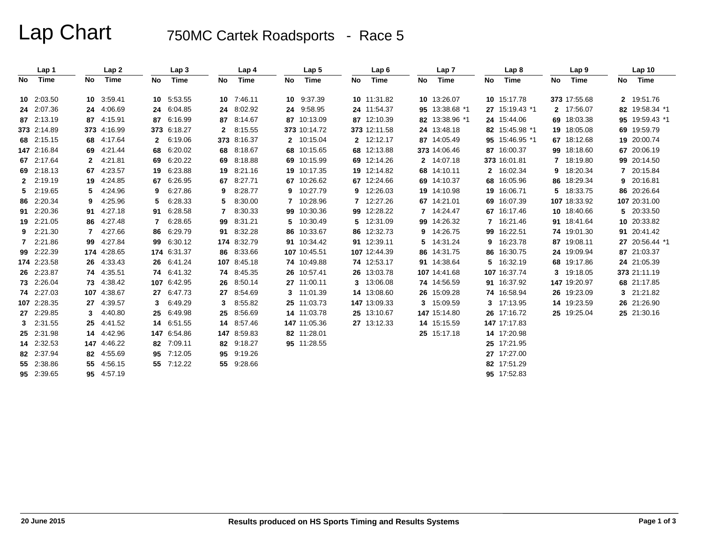# Lap Chart 750MC Cartek Roadsports - Race 5

|    | Lap 1       |             | Lap <sub>2</sub> |              | Lap <sub>3</sub> |     | Lap 4       |    | Lap <sub>5</sub> |    | Lap6         |    | Lap <sub>7</sub> |    | Lap <sub>8</sub> |                | Lap <sub>9</sub> |    | Lap <sub>10</sub> |
|----|-------------|-------------|------------------|--------------|------------------|-----|-------------|----|------------------|----|--------------|----|------------------|----|------------------|----------------|------------------|----|-------------------|
| No | Time        | No          | <b>Time</b>      | No           | Time             | No  | <b>Time</b> | No | Time             | No | Time         | No | Time             | No | Time             | No             | <b>Time</b>      | No | Time              |
|    | 10 2:03.50  |             | 10 3:59.41       |              | 10 5:53.55       | 10  | 7:46.11     |    | 10 9:37.39       |    | 10 11:31.82  |    | 10 13:26.07      |    | 10 15:17.78      |                | 373 17:55.68     |    | 2 19:51.76        |
|    | 24 2:07.36  |             | 24 4:06.69       | 24           | 6:04.85          | 24  | 8:02.92     |    | 24 9:58.95       |    | 24 11:54.37  |    | 95 13:38.68 *1   |    | 27 15:19.43 *1   |                | 2 17:56.07       |    | 82 19:58.34 *1    |
|    | 87 2:13.19  |             | 87 4:15.91       | 87           | 6:16.99          | 87  | 8:14.67     |    | 87 10:13.09      |    | 87 12:10.39  |    | 82 13:38.96 *1   |    | 24 15:44.06      |                | 69 18:03.38      |    | 95 19:59.43 *1    |
|    | 373 2:14.89 |             | 373 4:16.99      |              | 373 6:18.27      | 2   | 8:15.55     |    | 373 10:14.72     |    | 373 12:11.58 |    | 24 13:48.18      |    | 82 15:45.98 *1   |                | 19 18:05.08      |    | 69 19:59.79       |
|    | 68 2:15.15  |             | 68 4:17.64       | $\mathbf{2}$ | 6:19.06          | 373 | 8:16.37     |    | 2 10:15.04       |    | 2 12:12.17   |    | 87 14:05.49      |    | 95 15:46.95 *1   |                | 67 18:12.68      |    | 19 20:00.74       |
|    | 147 2:16.84 |             | 69 4:21.44       | 68           | 6:20.02          | 68  | 8:18.67     |    | 68 10:15.65      |    | 68 12:13.88  |    | 373 14:06.46     |    | 87 16:00.37      |                | 99 18:18.60      |    | 67 20:06.19       |
|    | 67 2:17.64  | $2^{\circ}$ | 4.21.81          | 69           | 6:20.22          | 69  | 8:18.88     |    | 69 10:15.99      |    | 69 12:14.26  |    | 2 14:07.18       |    | 373 16:01.81     | $\overline{7}$ | 18:19.80         |    | 99 20:14.50       |
|    | 69 2:18.13  |             | 67 4:23.57       | 19           | 6:23.88          | 19  | 8:21.16     |    | 19 10:17.35      |    | 19 12:14.82  |    | 68 14:10.11      |    | 2 16:02.34       | 9              | 18:20.34         |    | 7 20:15.84        |
|    | 2 2:19.19   |             | 19 4:24.85       | 67           | 6:26.95          | 67  | 8:27.71     |    | 67 10:26.62      |    | 67 12:24.66  |    | 69 14:10.37      |    | 68 16:05.96      |                | 86 18:29.34      |    | 9 20:16.81        |
| 5. | 2:19.65     | 5.          | 4:24.96          | 9            | 6:27.86          | 9   | 8:28.77     |    | 9 10:27.79       |    | 9 12:26.03   |    | 19 14:10.98      |    | 19 16:06.71      |                | 5 18:33.75       |    | 86 20:26.64       |
|    | 86 2:20.34  | 9           | 4:25.96          |              | 6:28.33          | 5   | 8:30.00     |    | 7 10:28.96       |    | 7 12:27.26   |    | 67 14:21.01      |    | 69 16:07.39      |                | 107 18:33.92     |    | 107 20:31.00      |
| 91 | 2:20.36     | 91          | 4:27.18          | 91           | 6:28.58          | 7   | 8:30.33     |    | 99 10:30.36      |    | 99 12:28.22  |    | 7 14:24.47       |    | 67 16:17.46      |                | 10 18:40.66      |    | 5 20:33.50        |
|    | 19 2:21.05  |             | 86 4:27.48       | 7            | 6:28.65          | 99  | 8:31.21     |    | 5 10:30.49       |    | 5 12:31.09   |    | 99 14:26.32      |    | 16:21.46         |                | 91 18:41.64      |    | 10 20:33.82       |
|    | 9 2:21.30   | 7           | 4:27.66          | 86           | 6:29.79          | 91  | 8:32.28     |    | 86 10:33.67      |    | 86 12:32.73  |    | 9 14:26.75       |    | 99 16:22.51      |                | 74 19:01.30      |    | 91 20:41.42       |
|    | 7 2:21.86   |             | 99 4:27.84       | 99           | 6:30.12          | 174 | 8:32.79     |    | 91 10:34.42      |    | 91 12:39.11  |    | 5 14:31.24       | 9  | 16:23.78         |                | 87 19:08.11      |    | 27 20:56.44 *1    |
|    | 99 2:22.39  |             | 174 4:28.65      |              | 174 6:31.37      | 86  | 8:33.66     |    | 107 10:45.51     |    | 107 12:44.39 |    | 86 14:31.75      |    | 86 16:30.75      |                | 24 19:09.94      |    | 87 21:03.37       |
|    | 174 2:23.58 |             | 26 4:33.43       | 26           | 6:41.24          |     | 107 8:45.18 |    | 74 10:49.88      |    | 74 12:53.17  |    | 91 14:38.64      | 5. | 16:32.19         |                | 68 19:17.86      |    | 24 21:05.39       |
|    | 26 2:23.87  |             | 74 4:35.51       |              | 74 6:41.32       | 74  | 8:45.35     |    | 26 10:57.41      |    | 26 13:03.78  |    | 107 14:41.68     |    | 107 16:37.74     |                | 3 19:18.05       |    | 373 21:11.19      |
|    | 73 2:26.04  |             | 73 4:38.42       |              | 107 6:42.95      | 26  | 8:50.14     |    | 27 11:00.11      |    | 3 13:06.08   |    | 74 14:56.59      |    | 91 16:37.92      |                | 147 19:20.97     |    | 68 21:17.85       |
|    | 74 2:27.03  |             | 107 4:38.67      | 27           | 6:47.73          | 27  | 8:54.69     |    | 3 11:01.39       |    | 14 13:08.60  |    | 26 15:09.28      |    | 74 16:58.94      |                | 26 19:23.09      |    | 3 21:21.82        |
|    | 107 2:28.35 |             | 27 4:39.57       | 3            | 6:49.29          | 3   | 8:55.82     |    | 25 11:03.73      |    | 147 13:09.33 |    | 3 15:09.59       |    | 3 17:13.95       |                | 14 19:23.59      |    | 26 21:26.90       |
|    | 27 2:29.85  | 3           | 4:40.80          | 25           | 6:49.98          | 25  | 8:56.69     |    | 14 11:03.78      |    | 25 13:10.67  |    | 147 15:14.80     |    | 26 17:16.72      |                | 25 19:25.04      |    | 25 21:30.16       |
|    | 3 2:31.55   |             | 25 4:41.52       |              | 14 6:51.55       | 14  | 8:57.46     |    | 147 11:05.36     |    | 27 13:12.33  |    | 14 15:15.59      |    | 147 17:17.83     |                |                  |    |                   |
|    | 25 2:31.98  |             | 14 4:42.96       |              | 147 6:54.86      | 147 | 8:59.83     |    | 82 11:28.01      |    |              |    | 25 15:17.18      |    | 14 17:20.98      |                |                  |    |                   |
|    | 14 2:32.53  |             | 147 4:46.22      | 82           | 7:09.11          | 82  | 9:18.27     |    | 95 11:28.55      |    |              |    |                  |    | 25 17:21.95      |                |                  |    |                   |
|    | 82 2:37.94  |             | 82 4:55.69       | 95           | 7:12.05          | 95  | 9:19.26     |    |                  |    |              |    |                  |    | 27 17:27.00      |                |                  |    |                   |
|    | 55 2:38.86  |             | 55 4:56.15       |              | 55 7:12.22       | 55  | 9:28.66     |    |                  |    |              |    |                  |    | 82 17:51.29      |                |                  |    |                   |
|    | 95 2:39.65  |             | 95 4:57.19       |              |                  |     |             |    |                  |    |              |    |                  |    | 95 17:52.83      |                |                  |    |                   |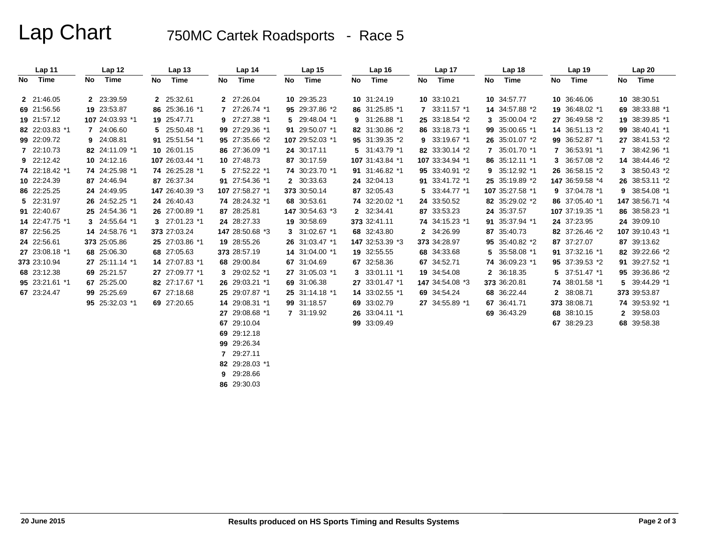# Lap Chart 750MC Cartek Roadsports - Race 5

|      | Lap 11         |     | Lap <sub>12</sub> |     | Lap <sub>13</sub> |     | Lap <sub>14</sub> |    | Lap <sub>15</sub> |    | Lap <sub>16</sub> |     | Lap 17          |     | Lap <sub>18</sub> |     | Lap <sub>19</sub> |    | Lap20           |
|------|----------------|-----|-------------------|-----|-------------------|-----|-------------------|----|-------------------|----|-------------------|-----|-----------------|-----|-------------------|-----|-------------------|----|-----------------|
| No l | Time           | No. | Time              | No. | Time              | No. | Time              | No | Time              | No | Time              | No. | Time            | No. | Time              | No. | Time              | No | Time            |
|      | 2 21:46.05     |     | 2 23:39.59        |     | 2 25:32.61        |     | 2 27:26.04        |    | 10 29:35.23       |    | 10 31:24.19       |     | 10 33:10.21     |     | 10 34:57.77       |     | 10 36:46.06       |    | 10 38:30.51     |
|      | 69 21:56.56    |     | 19 23:53.87       |     | 86 25:36.16 *1    | 7   | 27:26.74 *1       |    | 95 29:37.86 *2    |    | 86 31:25.85 *1    |     | 7 33:11.57 *1   |     | 14 34:57.88 *2    |     | 19 36:48.02 *1    |    | 69 38:33.88 *1  |
|      | 19 21:57.12    |     | 107 24:03.93 *1   |     | 19 25:47.71       | 9   | 27:27.38 *1       |    | 5 29:48.04 *1     |    | 9 31:26.88 *1     |     | 25 33:18.54 *2  |     | 3 35:00.04 *2     |     | 27 36:49.58 *2    |    | 19 38:39.85 *1  |
|      | 82 22:03.83 *1 |     | 7 24:06.60        |     | 5 25:50.48 *1     |     | 99 27:29.36 *1    |    | 91 29:50.07 *1    |    | 82 31:30.86 *2    |     | 86 33:18.73 *1  |     | 99 35:00.65 *1    |     | 14 36:51.13 *2    |    | 99 38:40.41 *1  |
|      | 99 22:09.72    |     | 9 24:08.81        |     | 91 25:51.54 *1    |     | 95 27:35.66 *2    |    | 107 29:52.03 *1   |    | 95 31:39.35 *2    |     | 9 33:19.67 *1   |     | 26 35:01.07 *2    |     | 99 36:52.87 *1    |    | 27 38:41.53 *2  |
|      | 7 22:10.73     |     | 82 24:11.09 *1    |     | 10 26:01.15       |     | 86 27:36.09 *1    |    | 24 30:17.11       |    | 5 31:43.79 *1     |     | 82 33:30.14 *2  |     | 7 35:01.70 *1     |     | 36:53.91 *1       |    | 7 38:42.96 *1   |
|      | 9 22:12.42     |     | 10 24:12.16       |     | 107 26:03.44 *1   |     | 10 27:48.73       |    | 87 30:17.59       |    | 107 31:43.84 *1   |     | 107 33:34.94 *1 |     | 86 35:12.11 *1    | 3   | 36:57.08 *2       |    | 14 38:44.46 *2  |
|      | 74 22:18.42 *1 |     | 74 24:25.98 *1    |     | 74 26:25.28 *1    |     | 5 27:52.22 *1     |    | 74 30:23.70 *1    |    | 91 31:46.82 *1    |     | 95 33:40.91 *2  |     | 9 35:12.92 *1     |     | 26 36:58.15 *2    |    | 3 38:50.43 *2   |
|      | 10 22:24.39    |     | 87 24:46.94       |     | 87 26:37.34       |     | 91 27:54.36 *1    |    | 2 30:33.63        |    | 24 32:04.13       |     | 91 33:41.72 *1  |     | 25 35:19.89 *2    |     | 147 36:59.58 *4   |    | 26 38:53.11 *2  |
|      | 86 22:25.25    |     | 24 24:49.95       |     | 147 26:40.39 *3   |     | 107 27:58.27 *1   |    | 373 30:50.14      |    | 87 32:05.43       |     | 5 33:44.77 *1   |     | 107 35:27.58 *1   |     | 9 37:04.78 *1     |    | 9 38:54.08 *1   |
|      | 5 22:31.97     |     | 26 24:52.25 *1    |     | 24 26:40.43       |     | 74 28:24.32 *1    |    | 68 30:53.61       |    | 74 32:20.02 *1    |     | 24 33:50.52     |     | 82 35:29.02 *2    |     | 86 37:05.40 *1    |    | 147 38:56.71 *4 |
|      | 91 22:40.67    |     | 25 24:54.36 *1    |     | 26 27:00.89 *1    |     | 87 28:25.81       |    | 147 30:54.63 *3   |    | 2 32:34.41        |     | 87 33:53.23     |     | 24 35:37.57       |     | 107 37:19.35 *1   |    | 86 38:58.23 *1  |
|      | 14 22:47.75 *1 |     | 3 24:55.64 *1     |     | 3 27:01.23 *1     |     | 24 28:27.33       |    | 19 30:58.69       |    | 373 32:41.11      |     | 74 34:15.23 *1  |     | 91 35:37.94 *1    |     | 24 37:23.95       |    | 24 39:09.10     |
|      | 87 22:56.25    |     | 14 24:58.76 *1    |     | 373 27:03.24      |     | 147 28:50.68 *3   |    | 3 31:02.67 *1     |    | 68 32:43.80       |     | 2 34:26.99      |     | 87 35:40.73       |     | 82 37:26.46 *2    |    | 107 39:10.43 *1 |
|      | 24 22:56.61    |     | 373 25:05.86      |     | 25 27:03.86 *1    |     | 19 28:55.26       |    | 26 31:03.47 *1    |    | 147 32:53.39 *3   |     | 373 34:28.97    |     | 95 35:40.82 *2    |     | 87 37:27.07       |    | 87 39:13.62     |
|      | 27 23:08.18 *1 |     | 68 25:06.30       |     | 68 27:05.63       |     | 373 28:57.19      |    | 14 31:04.00 *1    |    | 19 32:55.55       |     | 68 34:33.68     |     | 5 35:58.08 *1     |     | 91 37:32.16 *1    |    | 82 39:22.66 *2  |
|      | 373 23:10.94   |     | 27 25:11.14 *1    |     | 14 27:07.83 *1    |     | 68 29:00.84       |    | 67 31:04.69       |    | 67 32:58.36       |     | 67 34:52.71     |     | 74 36:09.23 *1    |     | 95 37:39.53 *2    |    | 91 39:27.52 *1  |
|      | 68 23:12.38    |     | 69 25:21.57       |     | 27 27:09.77 *1    |     | 3 29:02.52 *1     |    | 27 31:05.03 *1    |    | 3 33:01.11 *1     |     | 19 34:54.08     |     | 2 36:18.35        |     | 5 37:51.47 *1     |    | 95 39:36.86 *2  |
|      | 95 23:21.61 *1 |     | 67 25:25.00       |     | 82 27:17.67 *1    |     | 26 29:03.21 *1    |    | 69 31:06.38       |    | 27 33:01.47 *1    |     | 147 34:54.08 *3 |     | 373 36:20.81      |     | 74 38:01.58 *1    |    | 5 39:44.29 *1   |
|      | 67 23:24.47    |     | 99 25:25.69       |     | 67 27:18.68       |     | 25 29:07.87 *1    |    | 25 31:14.18 *1    |    | 14 33:02.55 *1    |     | 69 34:54.24     |     | 68 36:22.44       |     | 2 38:08.71        |    | 373 39:53.87    |
|      |                |     | 95 25:32.03 *1    |     | 69 27:20.65       |     | 14 29:08.31 *1    |    | 99 31:18.57       |    | 69 33:02.79       |     | 27 34:55.89 *1  |     | 67 36:41.71       |     | 373 38:08.71      |    | 74 39:53.92 *1  |
|      |                |     |                   |     |                   |     | 27 29:08.68 *1    |    | 7 31:19.92        |    | 26 33:04.11 *1    |     |                 |     | 69 36:43.29       |     | 68 38:10.15       |    | 2 39:58.03      |
|      |                |     |                   |     |                   |     | 67 29:10.04       |    |                   |    | 99 33:09.49       |     |                 |     |                   |     | 67 38:29.23       |    | 68 39:58.38     |
|      |                |     |                   |     |                   |     | 69 29:12.18       |    |                   |    |                   |     |                 |     |                   |     |                   |    |                 |

**99** 29:26.34

**7** 29:27.11

**82** 29:28.03 \*1

**9** 29:28.66

**86** 29:30.03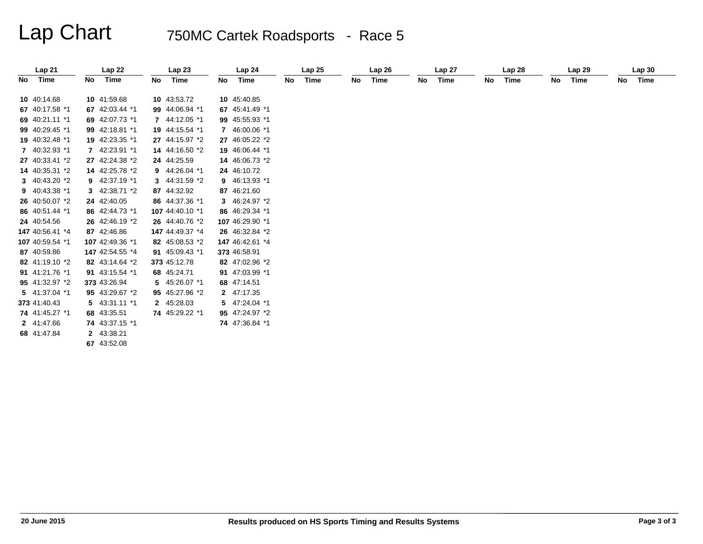# Lap Chart 750MC Cartek Roadsports - Race 5

|    | Lap21           |    | Lap 22          |    | Lap23           |    | Lap24           |    | Lap <sub>25</sub> |    | Lap26 |    | Lap <sub>27</sub> |    | Lap 28 |    | Lap <sub>29</sub> |    | Lap30 |
|----|-----------------|----|-----------------|----|-----------------|----|-----------------|----|-------------------|----|-------|----|-------------------|----|--------|----|-------------------|----|-------|
| No | Time            | No | Time            | No | Time            | No | Time            | No | Time              | No | Time  | No | Time              | No | Time   | No | Time              | No | Time  |
|    | 10 40:14.68     |    | 10 41:59.68     |    | 10 43:53.72     |    | 10 45:40.85     |    |                   |    |       |    |                   |    |        |    |                   |    |       |
|    | 67 40:17.58 *1  |    | 67 42:03.44 *1  |    | 99 44:06.94 *1  |    | 67 45:41.49 *1  |    |                   |    |       |    |                   |    |        |    |                   |    |       |
|    | 69 40:21.11 *1  |    | 69 42:07.73 *1  |    | 7 44:12.05 *1   |    | 99 45:55.93 *1  |    |                   |    |       |    |                   |    |        |    |                   |    |       |
|    | 99 40:29.45 *1  |    | 99 42:18.81 *1  |    | 19 44:15.54 *1  |    | 7 46:00.06 *1   |    |                   |    |       |    |                   |    |        |    |                   |    |       |
|    | 19 40:32.48 *1  |    | 19 42:23.35 *1  |    | 27 44:15.97 *2  |    | 27 46:05.22 *2  |    |                   |    |       |    |                   |    |        |    |                   |    |       |
|    | 7 40:32.93 *1   |    | 7 42:23.91 *1   |    | 14 44:16.50 *2  |    | 19 46:06.44 *1  |    |                   |    |       |    |                   |    |        |    |                   |    |       |
|    | 27 40:33.41 *2  |    | 27 42:24.38 *2  |    | 24 44:25.59     |    | 14 46:06.73 *2  |    |                   |    |       |    |                   |    |        |    |                   |    |       |
|    | 14 40:35.31 *2  |    | 14 42:25.78 *2  |    | 9 44:26.04 *1   |    | 24 46:10.72     |    |                   |    |       |    |                   |    |        |    |                   |    |       |
|    | 3 40:43.20 *2   |    | 9 42:37.19 *1   |    | 3 44:31.59 *2   |    | 9 46:13.93 *1   |    |                   |    |       |    |                   |    |        |    |                   |    |       |
|    | 9 40:43.38 *1   |    | 3 42:38.71 *2   |    | 87 44:32.92     |    | 87 46:21.60     |    |                   |    |       |    |                   |    |        |    |                   |    |       |
|    | 26 40:50.07 *2  |    | 24 42:40.05     |    | 86 44:37.36 *1  |    | 3 46:24.97 *2   |    |                   |    |       |    |                   |    |        |    |                   |    |       |
|    | 86 40:51.44 *1  |    | 86 42:44.73 *1  |    | 107 44:40.10 *1 |    | 86 46:29.34 *1  |    |                   |    |       |    |                   |    |        |    |                   |    |       |
|    | 24 40:54.56     |    | 26 42:46.19 *2  |    | 26 44:40.76 *2  |    | 107 46:29.90 *1 |    |                   |    |       |    |                   |    |        |    |                   |    |       |
|    | 147 40:56.41 *4 |    | 87 42:46.86     |    | 147 44:49.37 *4 |    | 26 46:32.84 *2  |    |                   |    |       |    |                   |    |        |    |                   |    |       |
|    | 107 40:59.54 *1 |    | 107 42:49.36 *1 |    | 82 45:08.53 *2  |    | 147 46:42.61 *4 |    |                   |    |       |    |                   |    |        |    |                   |    |       |
|    | 87 40:59.86     |    | 147 42:54.55 *4 |    | 91 45:09.43 *1  |    | 373 46:58.91    |    |                   |    |       |    |                   |    |        |    |                   |    |       |
|    | 82 41:19.10 *2  |    | 82 43:14.64 *2  |    | 373 45:12.78    |    | 82 47:02.96 *2  |    |                   |    |       |    |                   |    |        |    |                   |    |       |
|    | 91 41:21.76 *1  |    | 91 43:15.54 *1  |    | 68 45:24.71     |    | 91 47:03.99 *1  |    |                   |    |       |    |                   |    |        |    |                   |    |       |
|    | 95 41:32.97 *2  |    | 373 43:26.94    |    | 5 45:26.07 *1   |    | 68 47:14.51     |    |                   |    |       |    |                   |    |        |    |                   |    |       |
|    | 5 41:37.04 *1   |    | 95 43:29.67 *2  |    | 95 45:27.96 *2  |    | 2 47:17.35      |    |                   |    |       |    |                   |    |        |    |                   |    |       |
|    | 373 41:40.43    |    | 5 43:31.11 *1   |    | 2 45:28.03      |    | 5 47:24.04 *1   |    |                   |    |       |    |                   |    |        |    |                   |    |       |
|    | 74 41:45.27 *1  |    | 68 43:35.51     |    | 74 45:29.22 *1  |    | 95 47:24.97 *2  |    |                   |    |       |    |                   |    |        |    |                   |    |       |
|    | 2 41:47.66      |    | 74 43:37.15 *1  |    |                 |    | 74 47:36.84 *1  |    |                   |    |       |    |                   |    |        |    |                   |    |       |
|    | 68 41:47.84     |    | 2 43:38.21      |    |                 |    |                 |    |                   |    |       |    |                   |    |        |    |                   |    |       |
|    |                 |    | 67 43:52.08     |    |                 |    |                 |    |                   |    |       |    |                   |    |        |    |                   |    |       |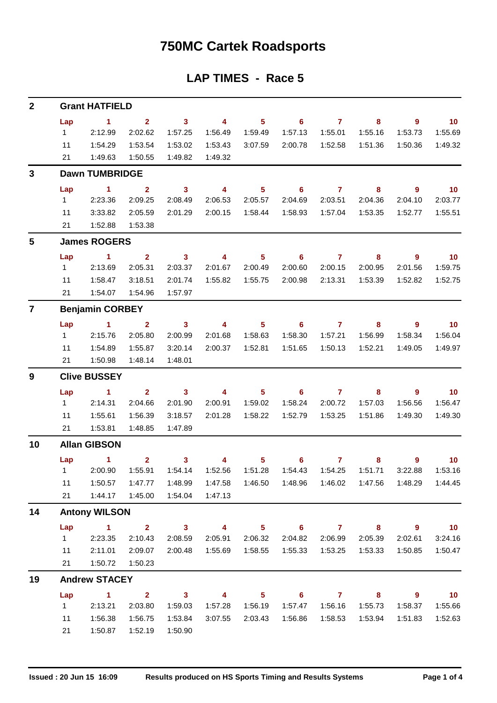## **750MC Cartek Roadsports**

## **LAP TIMES - Race 5**

| $\mathbf{2}$            |                     | <b>Grant HATFIELD</b>            |                         |                         |                         |                |                            |                |                                             |                |                          |  |  |
|-------------------------|---------------------|----------------------------------|-------------------------|-------------------------|-------------------------|----------------|----------------------------|----------------|---------------------------------------------|----------------|--------------------------|--|--|
|                         | Lap                 | $\sim$ 1                         | $\mathbf{2}$            | $\overline{\mathbf{3}}$ | $\overline{4}$          | 5 <sub>1</sub> | $\overline{\phantom{0}}$ 6 | $\overline{7}$ | 8                                           | $9^{\circ}$    | $\overline{10}$          |  |  |
|                         | 1                   | 2:12.99                          | 2:02.62                 | 1:57.25                 | 1:56.49                 | 1:59.49        | 1:57.13                    | 1:55.01        | 1:55.16                                     | 1:53.73        | 1:55.69                  |  |  |
|                         | 11                  | 1:54.29                          | 1:53.54                 | 1:53.02                 | 1:53.43                 | 3:07.59        | 2:00.78                    | 1:52.58        | 1:51.36                                     | 1:50.36        | 1:49.32                  |  |  |
|                         | 21                  | 1:49.63                          | 1:50.55                 | 1:49.82                 | 1:49.32                 |                |                            |                |                                             |                |                          |  |  |
| 3                       |                     | <b>Dawn TUMBRIDGE</b>            |                         |                         |                         |                |                            |                |                                             |                |                          |  |  |
|                         | Lap                 | $\sim$ 1                         | $\overline{\mathbf{2}}$ | $\overline{\mathbf{3}}$ | $\overline{4}$          | 5 <sub>5</sub> | $\overline{\phantom{0}}$ 6 | $\overline{7}$ | $\overline{\phantom{a}}$ 8                  | 9              | $\overline{10}$          |  |  |
|                         | $1 \quad$           | 2:23.36                          | 2:09.25                 | 2:08.49                 | 2:06.53                 | 2:05.57        | 2:04.69                    | 2:03.51        | 2:04.36                                     | 2:04.10        | 2:03.77                  |  |  |
|                         | 11                  | 3:33.82                          | 2:05.59                 | 2:01.29                 | 2:00.15                 | 1:58.44        | 1:58.93                    | 1:57.04        | 1:53.35                                     | 1:52.77        | 1:55.51                  |  |  |
|                         | 21                  | 1:52.88                          | 1:53.38                 |                         |                         |                |                            |                |                                             |                |                          |  |  |
| 5                       |                     | <b>James ROGERS</b>              |                         |                         |                         |                |                            |                |                                             |                |                          |  |  |
|                         | Lap                 | $\sim$ 1                         | $\mathbf{2}$            | $\mathbf{3}$            | $\overline{4}$          | 5 <sup>5</sup> | 6                          | $\mathbf{7}$   | 8                                           | $9^{\circ}$    | $\overline{10}$          |  |  |
|                         | $1 \quad$           | 2:13.69                          | 2:05.31                 | 2:03.37                 | 2:01.67                 | 2:00.49        | 2:00.60                    | 2:00.15        | 2:00.95                                     | 2:01.56        | 1:59.75                  |  |  |
|                         | 11                  | 1:58.47                          | 3:18.51                 | 2:01.74                 | 1:55.82                 | 1:55.75        | 2:00.98                    | 2:13.31        | 1:53.39                                     | 1:52.82        | 1:52.75                  |  |  |
|                         | 21                  | 1:54.07                          | 1:54.96                 | 1:57.97                 |                         |                |                            |                |                                             |                |                          |  |  |
| $\overline{\mathbf{7}}$ |                     | <b>Benjamin CORBEY</b>           |                         |                         |                         |                |                            |                |                                             |                |                          |  |  |
|                         | Lap                 | $\sim$ 1.000 $\sim$ 1.000 $\sim$ | $\overline{2}$          | $\overline{\mathbf{3}}$ | $\overline{\mathbf{4}}$ | 5 <sub>1</sub> | $\overline{\phantom{0}}$ 6 | $\overline{7}$ | 8                                           | $\overline{9}$ | 10                       |  |  |
|                         | $1 \quad$           | 2:15.76                          | 2:05.80                 | 2:00.99                 | 2:01.68                 | 1:58.63        | 1:58.30                    | 1:57.21        | 1:56.99                                     | 1:58.34        | 1:56.04                  |  |  |
|                         | 11                  | 1:54.89                          | 1:55.87                 | 3:20.14                 | 2:00.37                 | 1:52.81        | 1:51.65                    | 1:50.13        | 1:52.21                                     | 1:49.05        | 1:49.97                  |  |  |
|                         | 21                  | 1:50.98                          | 1:48.14                 | 1:48.01                 |                         |                |                            |                |                                             |                |                          |  |  |
| 9                       |                     | <b>Clive BUSSEY</b>              |                         |                         |                         |                |                            |                |                                             |                |                          |  |  |
|                         | Lap                 | $\sim$ 1                         | $\mathbf{2}$            | $\overline{\mathbf{3}}$ | $\overline{4}$          | 5 <sub>1</sub> | $\overline{\phantom{0}}$ 6 | $\overline{7}$ | 8                                           | 9              | $\blacksquare$ 10        |  |  |
|                         | 1                   | 2:14.31                          | 2:04.66                 | 2:01.90                 | 2:00.91                 | 1:59.02        | 1:58.24                    | 2:00.72        | 1:57.03                                     | 1:56.56        | 1:56.47                  |  |  |
|                         | 11                  | 1:55.61                          | 1:56.39                 | 3:18.57                 | 2:01.28                 | 1:58.22        | 1:52.79                    | 1:53.25        | 1:51.86                                     | 1:49.30        | 1:49.30                  |  |  |
|                         | 21                  | 1:53.81                          | 1:48.85                 | 1:47.89                 |                         |                |                            |                |                                             |                |                          |  |  |
| 10                      | <b>Allan GIBSON</b> |                                  |                         |                         |                         |                |                            |                |                                             |                |                          |  |  |
|                         |                     | Lap $1$ 2                        |                         | $\overline{\mathbf{3}}$ |                         |                | 4 5 6 7                    |                | 8                                           | 9              | $\blacksquare$ 10        |  |  |
|                         |                     | 1 2:00.90                        | 1:55.91                 | 1:54.14                 | 1:52.56                 | 1:51.28        | 1:54.43                    | 1:54.25        | 1:51.71                                     | 3:22.88        | 1:53.16                  |  |  |
|                         | 11                  | 1:50.57                          | 1:47.77                 | 1:48.99                 |                         |                |                            |                | 1:47.58  1:46.50  1:48.96  1:46.02  1:47.56 | 1:48.29        | 1:44.45                  |  |  |
|                         | 21                  | 1:44.17                          | 1:45.00                 | 1:54.04                 | 1:47.13                 |                |                            |                |                                             |                |                          |  |  |
| 14                      |                     | <b>Antony WILSON</b>             |                         |                         |                         |                |                            |                |                                             |                |                          |  |  |
|                         | Lap                 | $\sim$ 1                         |                         | $2 \t 3$                | $\overline{4}$          | $5 -$          |                            | $6$ $7$ $8$    |                                             | - 9            | $\overline{\mathbf{10}}$ |  |  |
|                         | 1                   | 2:23.35                          | 2:10.43                 | 2:08.59                 | 2:05.91                 | 2:06.32        | 2:04.82                    | 2:06.99        | 2:05.39                                     | 2:02.61        | 3:24.16                  |  |  |
|                         | 11                  | 2:11.01                          | 2:09.07                 | 2:00.48                 | 1:55.69                 | 1:58.55        | 1:55.33                    | 1:53.25        | 1:53.33                                     | 1:50.85        | 1:50.47                  |  |  |
|                         | 21                  | 1:50.72                          | 1:50.23                 |                         |                         |                |                            |                |                                             |                |                          |  |  |
| 19                      |                     | <b>Andrew STACEY</b>             |                         |                         |                         |                |                            |                |                                             |                |                          |  |  |
|                         | Lap                 | $\sim$ 1                         | $\overline{\mathbf{2}}$ | $\overline{\mathbf{3}}$ | $\overline{4}$          | 5 <sub>1</sub> | $\overline{\phantom{a}}$ 6 | $\overline{7}$ | $\overline{\mathbf{8}}$                     | $9^{\circ}$    | 10                       |  |  |
|                         | $1 \quad$           | 2:13.21                          | 2:03.80                 | 1:59.03                 | 1:57.28                 | 1:56.19        | 1:57.47                    | 1:56.16        | 1:55.73                                     | 1:58.37        | 1:55.66                  |  |  |
|                         | 11                  | 1:56.38                          | 1:56.75                 | 1:53.84                 | 3:07.55                 | 2:03.43        | 1:56.86                    | 1:58.53        | 1:53.94                                     | 1:51.83        | 1:52.63                  |  |  |
|                         | 21                  | 1:50.87                          | 1:52.19                 | 1:50.90                 |                         |                |                            |                |                                             |                |                          |  |  |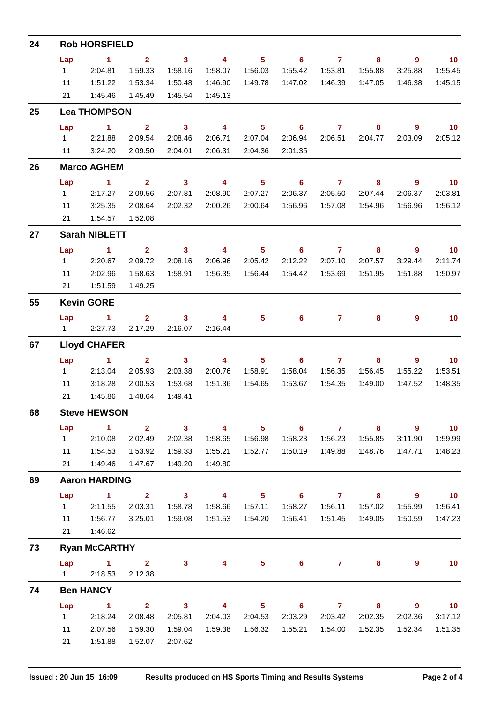| 24 |                      | <b>Rob HORSFIELD</b>                       |                         |                                                 |                         |                            |                            |                     |                         |                            |                   |  |
|----|----------------------|--------------------------------------------|-------------------------|-------------------------------------------------|-------------------------|----------------------------|----------------------------|---------------------|-------------------------|----------------------------|-------------------|--|
|    | Lap                  | $\sim$ 1                                   | $\overline{\mathbf{2}}$ | $\overline{\mathbf{3}}$                         | $\sim$ 4                | $\overline{\phantom{1}}$ 5 |                            | $6$ $7$ $8$         |                         | $\overline{\phantom{a}}$ 9 | $\blacksquare$ 10 |  |
|    |                      | 1 2:04.81                                  | 1:59.33                 | 1:58.16                                         | 1:58.07                 | 1:56.03                    | 1:55.42                    | 1:53.81             | 1:55.88                 | 3:25.88                    | 1:55.45           |  |
|    | 11                   | 1:51.22                                    | 1:53.34                 | 1:50.48                                         | 1:46.90                 | 1:49.78                    | 1:47.02                    | 1:46.39             | 1:47.05                 | 1:46.38                    | 1:45.15           |  |
|    | 21                   | 1:45.46                                    | 1:45.49                 | 1:45.54                                         | 1:45.13                 |                            |                            |                     |                         |                            |                   |  |
| 25 |                      | <b>Lea THOMPSON</b>                        |                         |                                                 |                         |                            |                            |                     |                         |                            |                   |  |
|    | Lap                  | $\sim$ $\sim$ 1                            | $\overline{\mathbf{2}}$ | $\sim$ 3                                        | $\overline{4}$          | 5 <sub>1</sub>             | $\overline{\phantom{0}}$ 6 | $\overline{7}$      | 8                       | $9^{\circ}$                | $\overline{10}$   |  |
|    |                      | 1 2:21.88                                  | 2:09.54                 | 2:08.46                                         | 2:06.71                 | 2:07.04                    | 2:06.94                    |                     | 2:06.51 2:04.77         | 2:03.09                    | 2:05.12           |  |
|    |                      | 11 3:24.20                                 | 2:09.50                 | 2:04.01                                         | 2:06.31                 | 2:04.36                    | 2:01.35                    |                     |                         |                            |                   |  |
| 26 | <b>Marco AGHEM</b>   |                                            |                         |                                                 |                         |                            |                            |                     |                         |                            |                   |  |
|    | Lap                  | $\sim$ 1                                   | $\overline{\mathbf{2}}$ |                                                 | $3 \t 4$                | $\overline{\phantom{1}}$ 5 |                            | $6 \qquad \qquad 7$ | $\overline{\mathbf{8}}$ | $\overline{\phantom{a}}$ 9 |                   |  |
|    | $1 \quad$            | 2:17.27                                    | 2:09.56                 | 2:07.81                                         | 2:08.90                 | 2:07.27                    | 2:06.37                    | 2:05.50             | 2:07.44                 | 2:06.37                    | 2:03.81           |  |
|    | 11                   | 3:25.35                                    | 2:08.64                 | 2:02.32                                         | 2:00.26                 | 2:00.64                    | 1:56.96                    | 1:57.08             | 1:54.96                 | 1:56.96                    | 1:56.12           |  |
|    |                      | 21  1:54.57  1:52.08                       |                         |                                                 |                         |                            |                            |                     |                         |                            |                   |  |
| 27 |                      | <b>Sarah NIBLETT</b>                       |                         |                                                 |                         |                            |                            |                     |                         |                            |                   |  |
|    | Lap                  | $\sim$ 1                                   | $\overline{\mathbf{2}}$ |                                                 |                         |                            | 3 4 5 6 7 8                |                     |                         | - 9                        | $\sim$ 10         |  |
|    |                      | 1 2:20.67                                  | 2:09.72                 | 2:08.16                                         | 2:06.96                 | 2:05.42                    | 2:12.22                    | 2:07.10             | 2:07.57                 | 3:29.44                    | 2:11.74           |  |
|    | 11                   | 2:02.96                                    | 1:58.63                 | 1:58.91                                         |                         |                            |                            |                     | 1:51.95                 | 1:51.88                    | 1:50.97           |  |
|    |                      | 21   1:51.59                               | 1:49.25                 |                                                 |                         |                            |                            |                     |                         |                            |                   |  |
| 55 | <b>Kevin GORE</b>    |                                            |                         |                                                 |                         |                            |                            |                     |                         |                            |                   |  |
|    | Lap                  | $\sim$ $\sim$ 1.                           |                         | $2 \qquad \qquad 3 \qquad \qquad 4$             |                         |                            | $5 \t\t 6 \t\t 7$          |                     | 8                       | 9                          | 10                |  |
|    |                      | 12:27.73                                   | 2:17.29                 | 2:16.07                                         | 2:16.44                 |                            |                            |                     |                         |                            |                   |  |
| 67 | <b>Lloyd CHAFER</b>  |                                            |                         |                                                 |                         |                            |                            |                     |                         |                            |                   |  |
|    | Lap                  | $\sim$ 1 $\sim$ 2                          |                         | $\overline{\mathbf{3}}$                         | $\overline{4}$          | $5 -$                      |                            | $6$ $7$ $8$         |                         | - 9                        | $\blacksquare$ 10 |  |
|    | $1 \quad \Box$       | 2:13.04                                    | 2:05.93                 | 2:03.38                                         | 2:00.76                 | 1:58.91                    | 1:58.04                    | 1:56.35             | 1:56.45                 | 1:55.22                    | 1:53.51           |  |
|    | 11                   | 3:18.28                                    | 2:00.53                 | 1:53.68                                         |                         | 1:51.36  1:54.65           | 1:53.67                    | 1:54.35             | 1:49.00                 | 1:47.52                    | 1:48.35           |  |
|    | 21                   | 1:45.86                                    | 1:48.64                 | 1:49.41                                         |                         |                            |                            |                     |                         |                            |                   |  |
| 68 |                      | <b>Steve HEWSON</b>                        |                         |                                                 |                         |                            |                            |                     |                         |                            |                   |  |
|    | Lap                  | $\sim$ 1                                   |                         | $\overline{\mathbf{2}}$ $\overline{\mathbf{3}}$ | $\overline{4}$          | $\overline{\phantom{0}}$ 5 | $\overline{\phantom{a}}$ 6 | $\overline{7}$      | $\overline{\mathbf{8}}$ | $\overline{\phantom{a}}$   | $\blacksquare$ 10 |  |
|    | $1 \quad$            | 2:10.08                                    | 2:02.49                 | 2:02.38                                         | 1:58.65                 | 1:56.98                    | 1:58.23                    | 1:56.23             | 1:55.85                 | 3:11.90                    | 1:59.99           |  |
|    | 11                   | 1:54.53                                    | 1:53.92                 | 1:59.33                                         | 1:55.21                 | 1:52.77                    | 1:50.19                    | 1:49.88             | 1:48.76                 | 1:47.71                    | 1:48.23           |  |
|    | 21                   | 1:49.46  1:47.67                           |                         | 1:49.20                                         | 1:49.80                 |                            |                            |                     |                         |                            |                   |  |
| 69 | <b>Aaron HARDING</b> |                                            |                         |                                                 |                         |                            |                            |                     |                         |                            |                   |  |
|    | Lap                  | $\sim$ $\sim$ 1.000                        | $\overline{\mathbf{2}}$ | $\overline{\mathbf{3}}$                         | $\overline{\mathbf{4}}$ | $5 -$                      |                            | $6 \qquad \qquad 7$ | 8                       | - 9                        | $\blacksquare$ 10 |  |
|    | $1 \quad$            | 2:11.55                                    | 2:03.31                 | 1:58.78                                         | 1:58.66                 | 1:57.11                    | 1:58.27                    | 1:56.11             | 1:57.02                 | 1:55.99                    | 1:56.41           |  |
|    | 11                   | 1:56.77                                    | 3:25.01                 | 1:59.08                                         |                         |                            | 1:56.41                    |                     |                         | 1:50.59                    | 1:47.23           |  |
|    | 21                   | 1:46.62                                    |                         |                                                 |                         |                            |                            |                     |                         |                            |                   |  |
| 73 |                      | <b>Ryan McCARTHY</b>                       |                         |                                                 |                         |                            |                            |                     |                         |                            |                   |  |
|    | Lap                  | $\overline{1}$ $\overline{2}$<br>1 2:18.53 | 2:12.38                 | 3 <sup>7</sup>                                  | 4                       | $5 -$                      |                            | $6 \t 7$            | 8                       | 9                          | 10                |  |
|    |                      |                                            |                         |                                                 |                         |                            |                            |                     |                         |                            |                   |  |
| 74 | Lap                  | <b>Ben HANCY</b><br>$\sim$ 1               |                         | $2 \t3 \t4$                                     |                         |                            | $5 \t\t 6 \t\t 7$          |                     | 8                       | - 9                        | $\blacksquare$ 10 |  |
|    | $1 \quad$            | 2:18.24                                    | 2:08.48                 | 2:05.81                                         | 2:04.03                 | 2:04.53                    | 2:03.29                    | 2:03.42             | 2:02.35                 | 2:02.36                    | 3:17.12           |  |
|    | 11                   | 2:07.56                                    | 1:59.30                 | 1:59.04                                         |                         | 1:59.38  1:56.32           | 1:55.21                    | 1:54.00             | 1:52.35                 | 1:52.34                    | 1:51.35           |  |
|    | 21                   | 1:51.88                                    | 1:52.07                 | 2:07.62                                         |                         |                            |                            |                     |                         |                            |                   |  |
|    |                      |                                            |                         |                                                 |                         |                            |                            |                     |                         |                            |                   |  |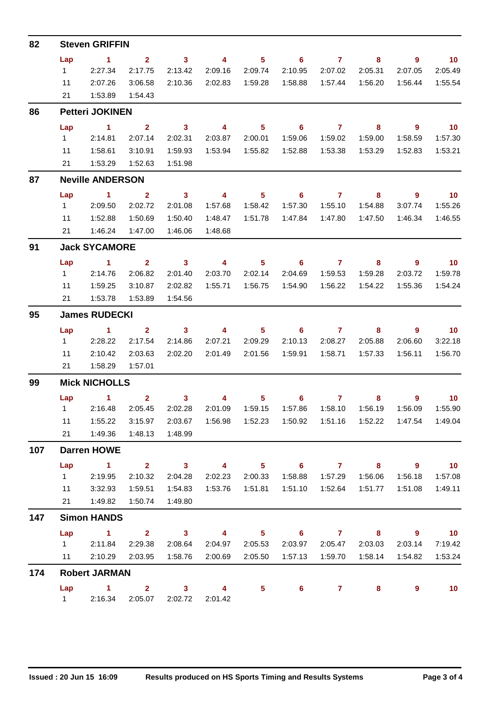| 82                |                         | <b>Steven GRIFFIN</b>  |                         |                            |                         |                  |                            |                                    |         |                                    |                             |  |  |  |  |
|-------------------|-------------------------|------------------------|-------------------------|----------------------------|-------------------------|------------------|----------------------------|------------------------------------|---------|------------------------------------|-----------------------------|--|--|--|--|
|                   | Lap                     | $\sim$ 1               | $\overline{2}$          | $\overline{\mathbf{3}}$    | $\overline{\mathbf{4}}$ | 5 <sub>5</sub>   | $\overline{\phantom{a}}$ 6 | $\sim$ $\sim$ $\sim$ $\sim$ $\sim$ | 8       | 9                                  | $\blacksquare$ 10           |  |  |  |  |
|                   | $1 \quad \blacksquare$  | 2:27.34                | 2:17.75                 | 2:13.42                    | 2:09.16                 | 2:09.74          | 2:10.95                    | 2:07.02                            | 2:05.31 | 2:07.05                            | 2:05.49                     |  |  |  |  |
|                   | 11                      | 2:07.26                | 3:06.58                 | 2:10.36                    |                         | 2:02.83 1:59.28  | 1:58.88                    |                                    |         | 1:56.44                            | 1:55.54                     |  |  |  |  |
|                   | 21                      | 1:53.89                | 1:54.43                 |                            |                         |                  |                            |                                    |         |                                    |                             |  |  |  |  |
| 86                |                         | <b>Petteri JOKINEN</b> |                         |                            |                         |                  |                            |                                    |         |                                    |                             |  |  |  |  |
|                   | Lap                     | $\sim$ 1               | $\overline{\mathbf{2}}$ | $\overline{\mathbf{3}}$    | $\overline{4}$          | 5 <sub>5</sub>   | $\overline{\phantom{0}}$ 6 | $\overline{7}$                     | 8       | $9^{\circ}$                        | $\overline{10}$             |  |  |  |  |
|                   |                         | 1 2:14.81              | 2:07.14                 | 2:02.31                    | 2:03.87                 | 2:00.01          | 1:59.06                    | 1:59.02                            | 1:59.00 | 1:58.59                            | 1:57.30                     |  |  |  |  |
|                   | 11                      | 1:58.61                | 3:10.91                 | 1:59.93                    |                         |                  | 1:52.88                    | 1:53.38                            | 1:53.29 | 1:52.83                            | 1:53.21                     |  |  |  |  |
|                   | 21                      | 1:53.29                | 1:52.63                 | 1:51.98                    |                         |                  |                            |                                    |         |                                    |                             |  |  |  |  |
| 87                | <b>Neville ANDERSON</b> |                        |                         |                            |                         |                  |                            |                                    |         |                                    |                             |  |  |  |  |
|                   | Lap                     | $\sim$ 1               | $\sim$ 2                | $\overline{\phantom{a}}$ 3 | $\overline{\mathbf{4}}$ | 5 <sup>5</sup>   | 6                          | $\overline{7}$                     | 8       | 9                                  | $\overline{10}$             |  |  |  |  |
|                   | $1 \quad$               | 2:09.50                | 2:02.72                 | 2:01.08                    | 1:57.68                 | 1:58.42          | 1:57.30                    | 1:55.10                            | 1:54.88 | 3:07.74                            | 1:55.26                     |  |  |  |  |
|                   | 11                      | 1:52.88                | 1:50.69                 | 1:50.40                    | 1:48.47                 | 1:51.78          | 1:47.84                    | 1:47.80                            | 1:47.50 | 1:46.34                            | 1:46.55                     |  |  |  |  |
|                   |                         | 21  1:46.24            | 1:47.00                 | 1:46.06                    | 1:48.68                 |                  |                            |                                    |         |                                    |                             |  |  |  |  |
| 91                |                         | <b>Jack SYCAMORE</b>   |                         |                            |                         |                  |                            |                                    |         |                                    |                             |  |  |  |  |
|                   | Lap                     | $\sim$ 1 $\sim$ 2      |                         | $\overline{\mathbf{3}}$    | $\overline{4}$          | 5 <sub>5</sub>   | $\overline{\phantom{0}}$ 6 | $\overline{7}$                     | 8       | $\overline{\phantom{a}}$ 9         | $\overline{\phantom{0}}$ 10 |  |  |  |  |
|                   | $1 \quad$               | 2:14.76                | 2:06.82                 | 2:01.40                    | 2:03.70                 | 2:02.14          | 2:04.69                    | 1:59.53                            | 1:59.28 | 2:03.72                            | 1:59.78                     |  |  |  |  |
|                   | 11                      | 1:59.25                | 3:10.87                 | 2:02.82                    |                         | 1:55.71  1:56.75 | 1:54.90                    | 1:56.22                            | 1:54.22 | 1:55.36                            | 1:54.24                     |  |  |  |  |
|                   | 21                      | 1:53.78                | 1:53.89                 | 1:54.56                    |                         |                  |                            |                                    |         |                                    |                             |  |  |  |  |
| 95                | <b>James RUDECKI</b>    |                        |                         |                            |                         |                  |                            |                                    |         |                                    |                             |  |  |  |  |
|                   | Lap                     | $\sim$ 1               | $\overline{2}$          | $\sim$ 3                   | $\overline{\mathbf{4}}$ | $5^{\circ}$      | $\overline{6}$ 7           |                                    | 8       | 9                                  | $\overline{10}$             |  |  |  |  |
|                   | $1 \quad$               | 2:28.22                | 2:17.54                 | 2:14.86                    | 2:07.21                 | 2:09.29          | 2:10.13                    | 2:08.27                            | 2:05.88 | 2:06.60                            | 3:22.18                     |  |  |  |  |
|                   | 11                      | 2:10.42                | 2:03.63                 | 2:02.20                    |                         | 2:01.49 2:01.56  | 1:59.91                    | 1:58.71                            | 1:57.33 | 1:56.11                            | 1:56.70                     |  |  |  |  |
|                   |                         | 21   1:58.29           | 1:57.01                 |                            |                         |                  |                            |                                    |         |                                    |                             |  |  |  |  |
| 99                |                         | <b>Mick NICHOLLS</b>   |                         |                            |                         |                  |                            |                                    |         |                                    |                             |  |  |  |  |
|                   |                         | Lap 1                  | $\overline{2}$          | $\mathbf{3}$               | $\overline{4}$          | 5 <sub>1</sub>   | $\overline{\phantom{0}}$ 6 | $\overline{7}$                     | 8       | 9                                  | 10                          |  |  |  |  |
|                   |                         | $1 \t 2:16.48$         | 2:05.45                 | 2:02.28                    | 2:01.09                 | 1:59.15          | 1:57.86                    | 1:58.10                            | 1:56.19 | 1:56.09                            | 1:55.90                     |  |  |  |  |
|                   | 11                      | 1:55.22                | 3:15.97                 | 2:03.67                    |                         |                  |                            |                                    |         |                                    | 1:47.54  1:49.04            |  |  |  |  |
|                   |                         | 21  1:49.36            | 1:48.13                 | 1:48.99                    |                         |                  |                            |                                    |         |                                    |                             |  |  |  |  |
| 107<br>147<br>174 | <b>Darren HOWE</b>      |                        |                         |                            |                         |                  |                            |                                    |         |                                    |                             |  |  |  |  |
|                   | Lap                     | $\sim$ $\sim$ 1.       |                         | $2 \t 3 \t 4$              |                         |                  | $5 \t\t 6 \t\t 7 \t\t 8$   |                                    |         | $\overline{\phantom{a}}$ 9         | $\sim$ 10                   |  |  |  |  |
|                   | $1 \quad \Box$          | 2:19.95                | 2:10.32                 | 2:04.28                    | 2:02.23                 | 2:00.33          | 1:58.88                    | 1:57.29                            | 1:56.06 | 1:56.18                            | 1:57.08                     |  |  |  |  |
|                   | 11                      | 3:32.93                | 1:59.51                 | 1:54.83                    |                         |                  | 1:51.10                    |                                    |         | 1:51.08                            | 1:49.11                     |  |  |  |  |
|                   |                         | 21   1:49.82           | 1:50.74                 | 1:49.80                    |                         |                  |                            |                                    |         |                                    |                             |  |  |  |  |
|                   |                         | <b>Simon HANDS</b>     |                         |                            |                         |                  |                            |                                    |         |                                    |                             |  |  |  |  |
|                   | Lap                     | $\sim$ $\sim$ 1        |                         | $2 \t 3 \t 4$              |                         |                  | 5 6 7 8                    |                                    |         | $\overline{9}$ and $\overline{10}$ |                             |  |  |  |  |
|                   |                         | $1 \t 2:11.84$         | 2:29.38                 | 2:08.64                    | 2:04.97                 | 2:05.53          | 2:03.97                    | 2:05.47                            | 2:03.03 | 2:03.14                            | 7:19.42                     |  |  |  |  |
|                   |                         | 11 2:10.29             | 2:03.95                 | 1:58.76                    | 2:00.69                 | 2:05.50          | 1:57.13                    | 1:59.70                            | 1:58.14 | 1:54.82                            | 1:53.24                     |  |  |  |  |
|                   |                         | <b>Robert JARMAN</b>   |                         |                            |                         |                  |                            |                                    |         |                                    |                             |  |  |  |  |
|                   |                         | $Lap$ 1 2              |                         |                            | $3 \t 4$                | 5 <sub>5</sub>   | $6^{\circ}$                | $\overline{7}$                     | 8       | 9                                  | 10                          |  |  |  |  |
|                   | $1 \quad \Box$          | 2:16.34                | 2:05.07                 | 2:02.72                    | 2:01.42                 |                  |                            |                                    |         |                                    |                             |  |  |  |  |